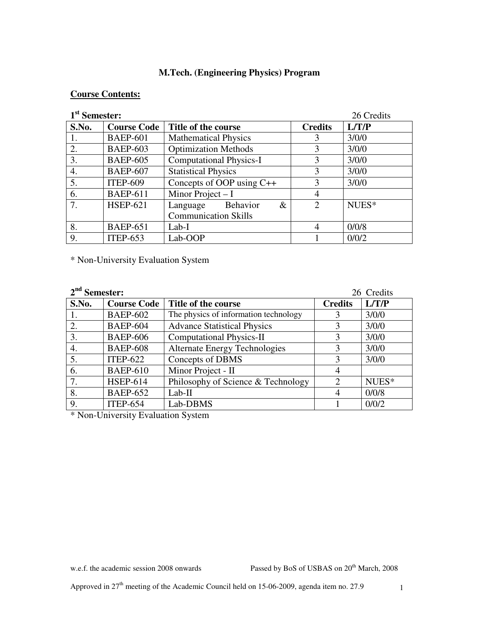## **M.Tech. (Engineering Physics) Program**

## **Course Contents:**

# 1<sup>st</sup> Samostor.

| 1 <sup>st</sup> Semester: |                    |                                | 26 Credits     |       |
|---------------------------|--------------------|--------------------------------|----------------|-------|
| S.No.                     | <b>Course Code</b> | Title of the course            | <b>Credits</b> | L/T/P |
| 1.                        | <b>BAEP-601</b>    | <b>Mathematical Physics</b>    | 3              | 3/0/0 |
| 2.                        | <b>BAEP-603</b>    | <b>Optimization Methods</b>    | 3              | 3/0/0 |
| 3.                        | <b>BAEP-605</b>    | <b>Computational Physics-I</b> | 3              | 3/0/0 |
| 4.                        | <b>BAEP-607</b>    | <b>Statistical Physics</b>     | 3              | 3/0/0 |
| 5.                        | <b>ITEP-609</b>    | Concepts of OOP using $C++$    | 3              | 3/0/0 |
| 6.                        | <b>BAEP-611</b>    | Minor Project $-I$             | 4              |       |
| 7.                        | <b>HSEP-621</b>    | Behavior<br>$\&$<br>Language   | 2              | NUES* |
|                           |                    | <b>Communication Skills</b>    |                |       |
| 8.                        | <b>BAEP-651</b>    | $Lab-I$                        | $\overline{4}$ | 0/0/8 |
| 9.                        | <b>ITEP-653</b>    | Lab-OOP                        |                | 0/0/2 |

\* Non-University Evaluation System

| $2nd$ Semester: |                    |                                       | 26 Credits     |       |
|-----------------|--------------------|---------------------------------------|----------------|-------|
| S.No.           | <b>Course Code</b> | Title of the course                   | <b>Credits</b> | L/T/P |
|                 | <b>BAEP-602</b>    | The physics of information technology | 3              | 3/0/0 |
| 2.              | <b>BAEP-604</b>    | <b>Advance Statistical Physics</b>    | 3              | 3/0/0 |
| 3.              | <b>BAEP-606</b>    | <b>Computational Physics-II</b>       | 3              | 3/0/0 |
| 4.              | <b>BAEP-608</b>    | <b>Alternate Energy Technologies</b>  | 3              | 3/0/0 |
| 5.              | <b>ITEP-622</b>    | Concepts of DBMS                      | 3              | 3/0/0 |
| 6.              | <b>BAEP-610</b>    | Minor Project - II                    | $\overline{4}$ |       |
| 7.              | <b>HSEP-614</b>    | Philosophy of Science & Technology    | 2              | NUES* |
| 8.              | <b>BAEP-652</b>    | $Lab-II$                              | $\overline{4}$ | 0/0/8 |
| 9.              | <b>ITEP-654</b>    | Lab-DBMS                              |                | 0/0/2 |

\* Non-University Evaluation System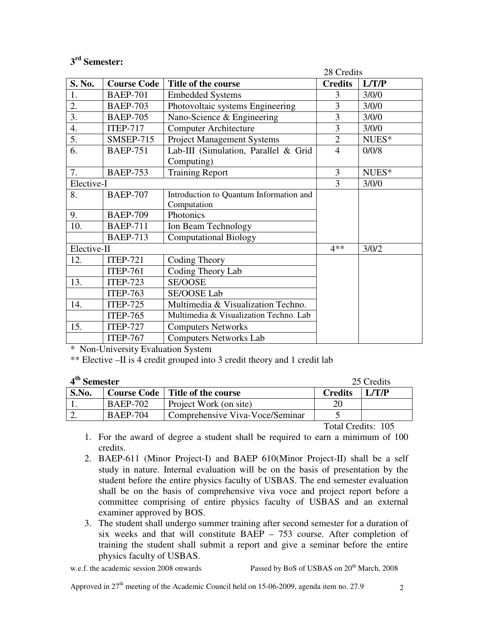## **3 rd Semester:**

|                  | 28 Credits         |                                         |                |       |
|------------------|--------------------|-----------------------------------------|----------------|-------|
| S. No.           | <b>Course Code</b> | Title of the course                     | <b>Credits</b> | L/T/P |
| 1.               | <b>BAEP-701</b>    | <b>Embedded Systems</b>                 | 3              | 3/0/0 |
| 2.               | <b>BAEP-703</b>    | Photovoltaic systems Engineering        | 3              | 3/0/0 |
| 3.               | <b>BAEP-705</b>    | Nano-Science & Engineering              | 3              | 3/0/0 |
| $\overline{4}$ . | <b>ITEP-717</b>    | <b>Computer Architecture</b>            | 3              | 3/0/0 |
| $\overline{5}$ . | <b>SMSEP-715</b>   | <b>Project Management Systems</b>       | $\overline{2}$ | NUES* |
| $\overline{6}$ . | <b>BAEP-751</b>    | Lab-III (Simulation, Parallel & Grid    | $\overline{4}$ | 0/0/8 |
|                  |                    | Computing)                              |                |       |
| 7.               | <b>BAEP-753</b>    | <b>Training Report</b>                  | 3              | NUES* |
| Elective-I       |                    | 3                                       | 3/0/0          |       |
| 8.               | <b>BAEP-707</b>    | Introduction to Quantum Information and |                |       |
|                  |                    | Computation                             |                |       |
| 9.               | <b>BAEP-709</b>    | Photonics                               |                |       |
| 10.              | <b>BAEP-711</b>    | Ion Beam Technology                     |                |       |
|                  | <b>BAEP-713</b>    | <b>Computational Biology</b>            |                |       |
| Elective-II      |                    | 4**                                     | 3/0/2          |       |
| 12.              | <b>ITEP-721</b>    | Coding Theory                           |                |       |
|                  | <b>ITEP-761</b>    | Coding Theory Lab                       |                |       |
| 13.              | <b>ITEP-723</b>    | <b>SE/OOSE</b>                          |                |       |
|                  | <b>ITEP-763</b>    | SE/OOSE Lab                             |                |       |
| 14.              | <b>ITEP-725</b>    | Multimedia & Visualization Techno.      |                |       |
|                  | <b>ITEP-765</b>    | Multimedia & Visualization Techno. Lab  |                |       |
| 15.              | <b>ITEP-727</b>    | <b>Computers Networks</b>               |                |       |
|                  | <b>ITEP-767</b>    | <b>Computers Networks Lab</b>           |                |       |

\* Non-University Evaluation System

\*\* Elective –II is 4 credit grouped into 3 credit theory and 1 credit lab

| 4 <sup>th</sup> Semester |                 |                                          | 25 Credits     |               |
|--------------------------|-----------------|------------------------------------------|----------------|---------------|
| S.No.                    |                 | <b>Course Code</b>   Title of the course | <b>Credits</b> | $\perp$ L/T/P |
|                          | <b>BAEP-702</b> | Project Work (on site)                   | 20             |               |
|                          | <b>BAEP-704</b> | Comprehensive Viva-Voce/Seminar          |                |               |

Total Credits: 105

- 1. For the award of degree a student shall be required to earn a minimum of 100 credits.
- 2. BAEP-611 (Minor Project-I) and BAEP 610(Minor Project-II) shall be a self study in nature. Internal evaluation will be on the basis of presentation by the student before the entire physics faculty of USBAS. The end semester evaluation shall be on the basis of comprehensive viva voce and project report before a committee comprising of entire physics faculty of USBAS and an external examiner approved by BOS.
- 3. The student shall undergo summer training after second semester for a duration of six weeks and that will constitute BAEP – 753 course. After completion of training the student shall submit a report and give a seminar before the entire physics faculty of USBAS.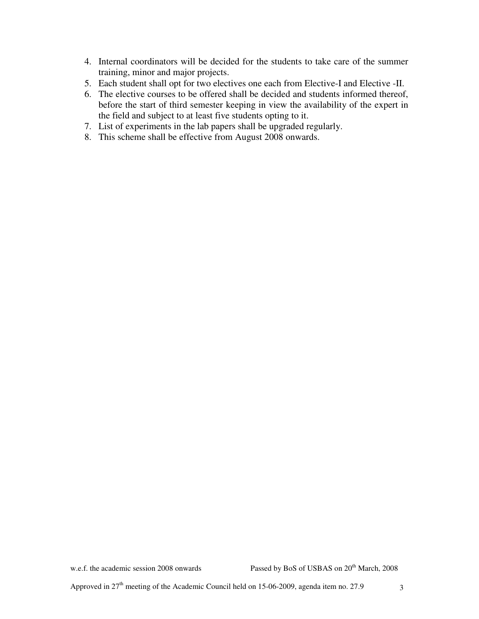- 4. Internal coordinators will be decided for the students to take care of the summer training, minor and major projects.
- 5. Each student shall opt for two electives one each from Elective-I and Elective -II.
- 6. The elective courses to be offered shall be decided and students informed thereof, before the start of third semester keeping in view the availability of the expert in the field and subject to at least five students opting to it.
- 7. List of experiments in the lab papers shall be upgraded regularly.
- 8. This scheme shall be effective from August 2008 onwards.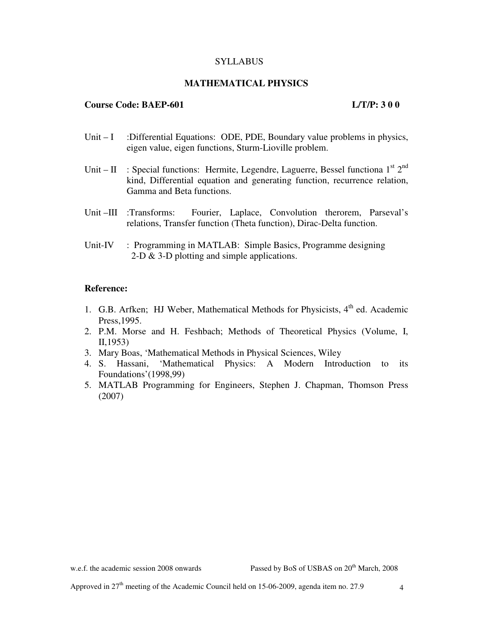### **SYLLABUS**

## **MATHEMATICAL PHYSICS**

## **Course Code: BAEP-601 L/T/P: 3 0 0**

- Unit I :Differential Equations: ODE, PDE, Boundary value problems in physics, eigen value, eigen functions, Sturm-Lioville problem.
- Unit II : Special functions: Hermite, Legendre, Laguerre, Bessel functiona  $1^{st} 2^{nd}$ kind, Differential equation and generating function, recurrence relation, Gamma and Beta functions.
- Unit –III :Transforms: Fourier, Laplace, Convolution therorem, Parseval's relations, Transfer function (Theta function), Dirac-Delta function.
- Unit-IV : Programming in MATLAB: Simple Basics, Programme designing 2-D & 3-D plotting and simple applications.

### **Reference:**

- 1. G.B. Arfken; HJ Weber, Mathematical Methods for Physicists,  $4<sup>th</sup>$  ed. Academic Press,1995.
- 2. P.M. Morse and H. Feshbach; Methods of Theoretical Physics (Volume, I, II,1953)
- 3. Mary Boas, 'Mathematical Methods in Physical Sciences, Wiley
- 4. S. Hassani, 'Mathematical Physics: A Modern Introduction to its Foundations'(1998,99)
- 5. MATLAB Programming for Engineers, Stephen J. Chapman, Thomson Press (2007)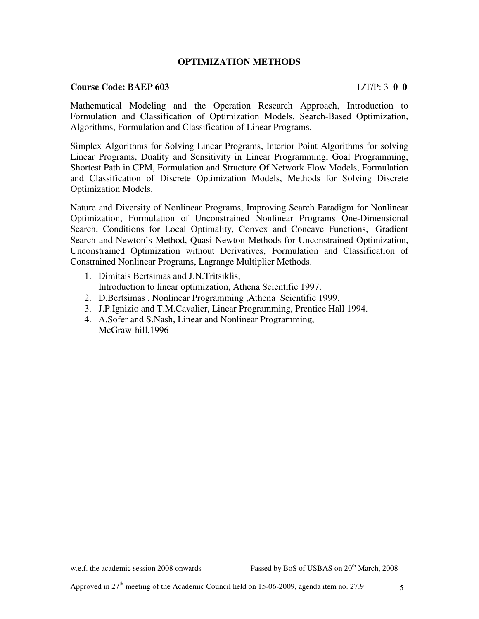## **OPTIMIZATION METHODS**

#### **Course Code: BAEP 603** L/T/P: 3 **0 0**

Mathematical Modeling and the Operation Research Approach, Introduction to Formulation and Classification of Optimization Models, Search-Based Optimization, Algorithms, Formulation and Classification of Linear Programs.

Simplex Algorithms for Solving Linear Programs, Interior Point Algorithms for solving Linear Programs, Duality and Sensitivity in Linear Programming, Goal Programming, Shortest Path in CPM, Formulation and Structure Of Network Flow Models, Formulation and Classification of Discrete Optimization Models, Methods for Solving Discrete Optimization Models.

Nature and Diversity of Nonlinear Programs, Improving Search Paradigm for Nonlinear Optimization, Formulation of Unconstrained Nonlinear Programs One-Dimensional Search, Conditions for Local Optimality, Convex and Concave Functions, Gradient Search and Newton's Method, Quasi-Newton Methods for Unconstrained Optimization, Unconstrained Optimization without Derivatives, Formulation and Classification of Constrained Nonlinear Programs, Lagrange Multiplier Methods.

- 1. Dimitais Bertsimas and J.N.Tritsiklis, Introduction to linear optimization, Athena Scientific 1997.
- 2. D.Bertsimas , Nonlinear Programming ,Athena Scientific 1999.
- 3. J.P.Ignizio and T.M.Cavalier, Linear Programming, Prentice Hall 1994.
- 4. A.Sofer and S.Nash, Linear and Nonlinear Programming, McGraw-hill,1996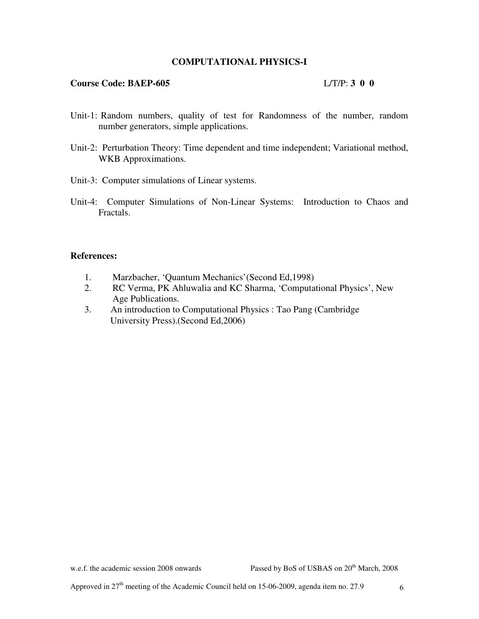## **COMPUTATIONAL PHYSICS-I**

#### **Course Code: BAEP-605** L/T/P: **3 0 0**

- Unit-1: Random numbers, quality of test for Randomness of the number, random number generators, simple applications.
- Unit-2: Perturbation Theory: Time dependent and time independent; Variational method, WKB Approximations.
- Unit-3: Computer simulations of Linear systems.
- Unit-4: Computer Simulations of Non-Linear Systems: Introduction to Chaos and Fractals.

#### **References:**

- 1. Marzbacher, 'Quantum Mechanics'(Second Ed,1998)
- 2. RC Verma, PK Ahluwalia and KC Sharma, 'Computational Physics', New Age Publications.
- 3. An introduction to Computational Physics : Tao Pang (Cambridge University Press).(Second Ed,2006)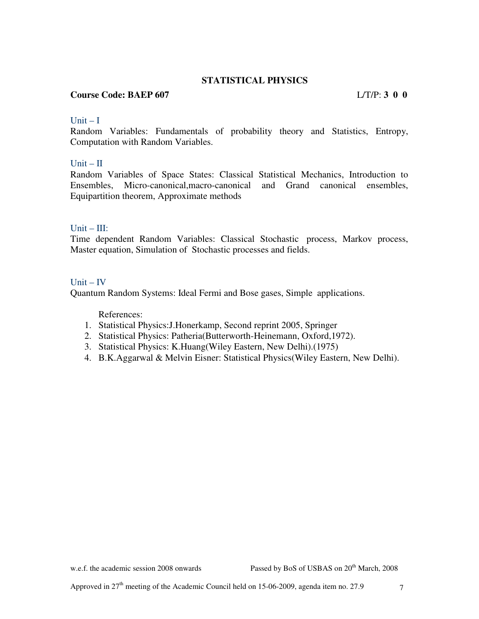## **STATISTICAL PHYSICS**

## **Course Code: BAEP 607** L/T/P: **3 0 0**

## $Unit - I$

Random Variables: Fundamentals of probability theory and Statistics, Entropy, Computation with Random Variables.

### $Unit - II$

Random Variables of Space States: Classical Statistical Mechanics, Introduction to Ensembles, Micro-canonical,macro-canonical and Grand canonical ensembles, Equipartition theorem, Approximate methods

### Unit – III:

Time dependent Random Variables: Classical Stochastic process, Markov process, Master equation, Simulation of Stochastic processes and fields.

### $Unit - IV$

Quantum Random Systems: Ideal Fermi and Bose gases, Simple applications.

References:

- 1. Statistical Physics:J.Honerkamp, Second reprint 2005, Springer
- 2. Statistical Physics: Patheria(Butterworth-Heinemann, Oxford,1972).
- 3. Statistical Physics: K.Huang(Wiley Eastern, New Delhi).(1975)
- 4. B.K.Aggarwal & Melvin Eisner: Statistical Physics(Wiley Eastern, New Delhi).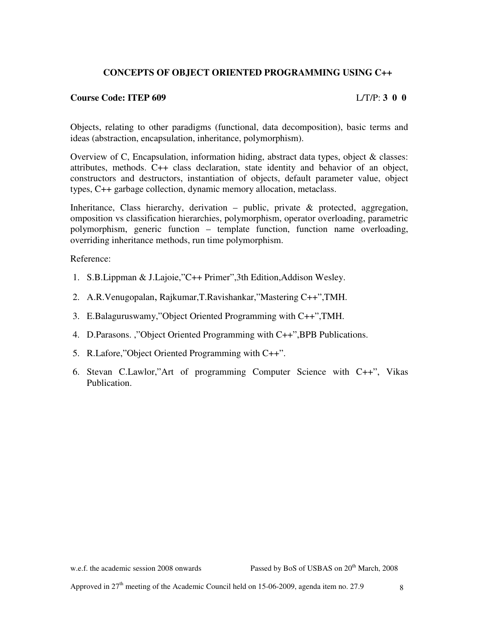## **CONCEPTS OF OBJECT ORIENTED PROGRAMMING USING C++**

### **Course Code: ITEP 609** L/T/P: **3 0 0**

Objects, relating to other paradigms (functional, data decomposition), basic terms and ideas (abstraction, encapsulation, inheritance, polymorphism).

Overview of C, Encapsulation, information hiding, abstract data types, object & classes: attributes, methods. C++ class declaration, state identity and behavior of an object, constructors and destructors, instantiation of objects, default parameter value, object types, C++ garbage collection, dynamic memory allocation, metaclass.

Inheritance, Class hierarchy, derivation – public, private & protected, aggregation, omposition vs classification hierarchies, polymorphism, operator overloading, parametric polymorphism, generic function – template function, function name overloading, overriding inheritance methods, run time polymorphism.

Reference:

- 1. S.B.Lippman & J.Lajoie,"C++ Primer",3th Edition,Addison Wesley.
- 2. A.R.Venugopalan, Rajkumar,T.Ravishankar,"Mastering C++",TMH.
- 3. E.Balaguruswamy,"Object Oriented Programming with C++",TMH.
- 4. D.Parasons. ,"Object Oriented Programming with C++",BPB Publications.
- 5. R.Lafore,"Object Oriented Programming with C++".
- 6. Stevan C.Lawlor,"Art of programming Computer Science with C++", Vikas Publication.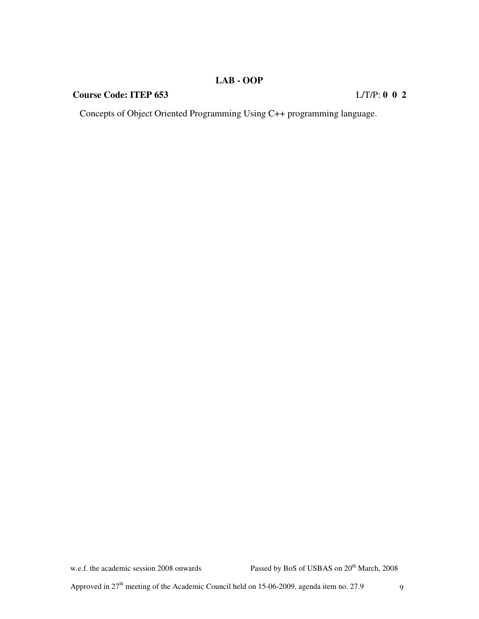## **LAB - OOP**

## **Course Code: ITEP 653** L/T/P: **0 0 2**

Concepts of Object Oriented Programming Using C++ programming language.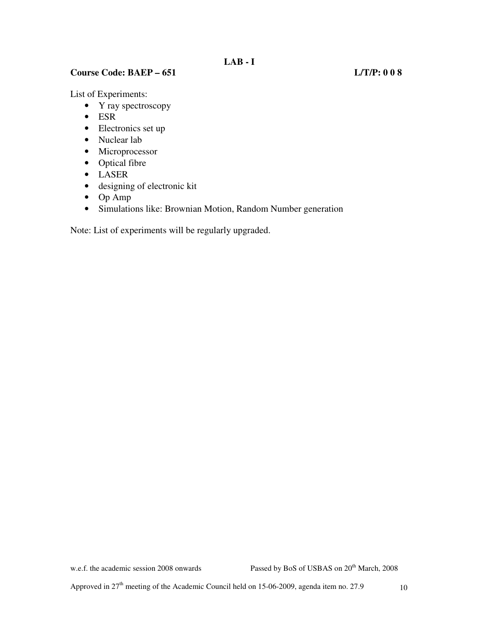## **Course Code: BAEP – 651 L/T/P: 0 0 8**

List of Experiments:

- Y ray spectroscopy
- ESR
- Electronics set up
- Nuclear lab
- Microprocessor
- Optical fibre
- LASER
- designing of electronic kit
- Op Amp
- Simulations like: Brownian Motion, Random Number generation

Note: List of experiments will be regularly upgraded.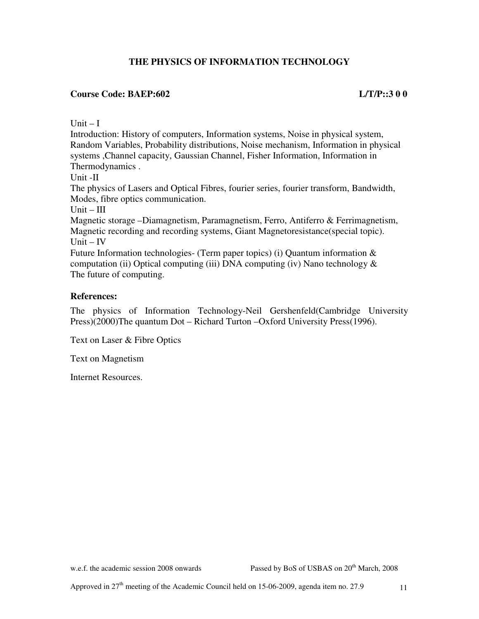## **THE PHYSICS OF INFORMATION TECHNOLOGY**

## **Course Code: BAEP:602 L/T/P::3 0 0**

 $Unit - I$ 

Introduction: History of computers, Information systems, Noise in physical system, Random Variables, Probability distributions, Noise mechanism, Information in physical systems ,Channel capacity, Gaussian Channel, Fisher Information, Information in Thermodynamics .

Unit -II

The physics of Lasers and Optical Fibres, fourier series, fourier transform, Bandwidth, Modes, fibre optics communication.

 $Unit - III$ 

Magnetic storage –Diamagnetism, Paramagnetism, Ferro, Antiferro & Ferrimagnetism, Magnetic recording and recording systems, Giant Magnetoresistance(special topic). Unit – IV

Future Information technologies- (Term paper topics) (i) Quantum information & computation (ii) Optical computing (iii) DNA computing (iv) Nano technology  $\&$ The future of computing.

## **References:**

The physics of Information Technology-Neil Gershenfeld(Cambridge University Press)(2000)The quantum Dot – Richard Turton –Oxford University Press(1996).

Text on Laser & Fibre Optics

Text on Magnetism

Internet Resources.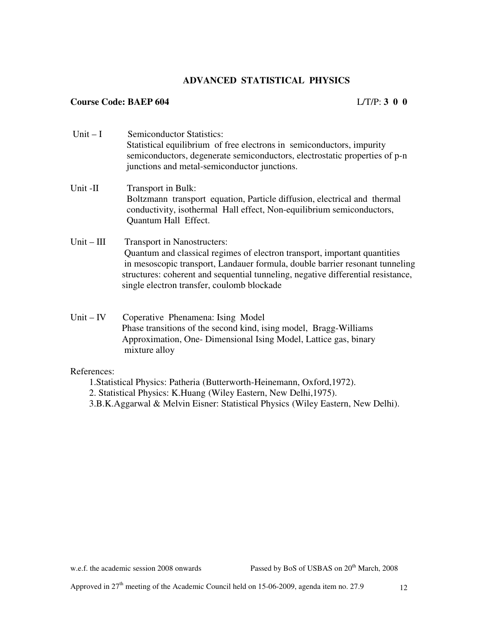## **ADVANCED STATISTICAL PHYSICS**

## **Course Code: BAEP 604** L/T/P: **3 0 0**

- Unit I Semiconductor Statistics: Statistical equilibrium of free electrons in semiconductors, impurity semiconductors, degenerate semiconductors, electrostatic properties of p-n junctions and metal-semiconductor junctions. Unit -II Transport in Bulk: Boltzmann transport equation, Particle diffusion, electrical and thermal conductivity, isothermal Hall effect, Non-equilibrium semiconductors, Quantum Hall Effect. Unit – III Transport in Nanostructers: Quantum and classical regimes of electron transport, important quantities in mesoscopic transport, Landauer formula, double barrier resonant tunneling structures: coherent and sequential tunneling, negative differential resistance, single electron transfer, coulomb blockade
- Unit IV Coperative Phenamena: Ising Model Phase transitions of the second kind, ising model, Bragg-Williams Approximation, One- Dimensional Ising Model, Lattice gas, binary mixture alloy

## References:

- 1.Statistical Physics: Patheria (Butterworth-Heinemann, Oxford,1972).
- 2. Statistical Physics: K.Huang (Wiley Eastern, New Delhi,1975).
- 3.B.K.Aggarwal & Melvin Eisner: Statistical Physics (Wiley Eastern, New Delhi).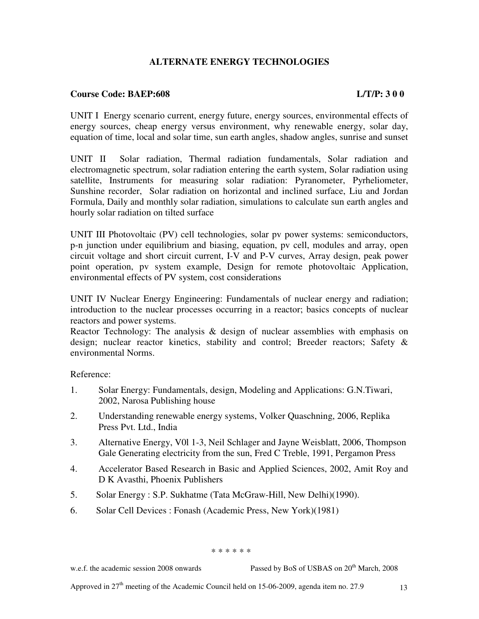## **ALTERNATE ENERGY TECHNOLOGIES**

## **Course Code: BAEP:608 L/T/P: 3 0 0**

UNIT I Energy scenario current, energy future, energy sources, environmental effects of energy sources, cheap energy versus environment, why renewable energy, solar day, equation of time, local and solar time, sun earth angles, shadow angles, sunrise and sunset

UNIT II Solar radiation, Thermal radiation fundamentals, Solar radiation and electromagnetic spectrum, solar radiation entering the earth system, Solar radiation using satellite, Instruments for measuring solar radiation: Pyranometer, Pyrheliometer, Sunshine recorder, Solar radiation on horizontal and inclined surface, Liu and Jordan Formula, Daily and monthly solar radiation, simulations to calculate sun earth angles and hourly solar radiation on tilted surface

UNIT III Photovoltaic (PV) cell technologies, solar pv power systems: semiconductors, p-n junction under equilibrium and biasing, equation, pv cell, modules and array, open circuit voltage and short circuit current, I-V and P-V curves, Array design, peak power point operation, pv system example, Design for remote photovoltaic Application, environmental effects of PV system, cost considerations

UNIT IV Nuclear Energy Engineering: Fundamentals of nuclear energy and radiation; introduction to the nuclear processes occurring in a reactor; basics concepts of nuclear reactors and power systems.

Reactor Technology: The analysis & design of nuclear assemblies with emphasis on design; nuclear reactor kinetics, stability and control; Breeder reactors; Safety & environmental Norms.

Reference:

- 1. Solar Energy: Fundamentals, design, Modeling and Applications: G.N.Tiwari, 2002, Narosa Publishing house
- 2. Understanding renewable energy systems, Volker Quaschning, 2006, Replika Press Pvt. Ltd., India
- 3. Alternative Energy, V0l 1-3, Neil Schlager and Jayne Weisblatt, 2006, Thompson Gale Generating electricity from the sun, Fred C Treble, 1991, Pergamon Press
- 4. Accelerator Based Research in Basic and Applied Sciences, 2002, Amit Roy and D K Avasthi, Phoenix Publishers
- 5. Solar Energy : S.P. Sukhatme (Tata McGraw-Hill, New Delhi)(1990).
- 6. Solar Cell Devices : Fonash (Academic Press, New York)(1981)

\* \* \* \* \* \*

w.e.f. the academic session 2008 onwards Passed by BoS of USBAS on 20<sup>th</sup> March, 2008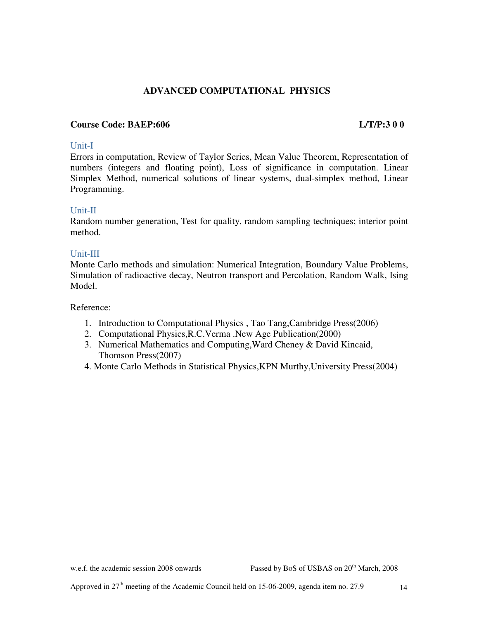## **ADVANCED COMPUTATIONAL PHYSICS**

## **Course Code: BAEP:606 L/T/P:3 0 0**

### Unit-I

Errors in computation, Review of Taylor Series, Mean Value Theorem, Representation of numbers (integers and floating point), Loss of significance in computation. Linear Simplex Method, numerical solutions of linear systems, dual-simplex method, Linear Programming.

## Unit-II

Random number generation, Test for quality, random sampling techniques; interior point method.

### Unit-III

Monte Carlo methods and simulation: Numerical Integration, Boundary Value Problems, Simulation of radioactive decay, Neutron transport and Percolation, Random Walk, Ising Model.

Reference:

- 1. Introduction to Computational Physics , Tao Tang,Cambridge Press(2006)
- 2. Computational Physics,R.C.Verma .New Age Publication(2000)
- 3. Numerical Mathematics and Computing,Ward Cheney & David Kincaid, Thomson Press(2007)
- 4. Monte Carlo Methods in Statistical Physics,KPN Murthy,University Press(2004)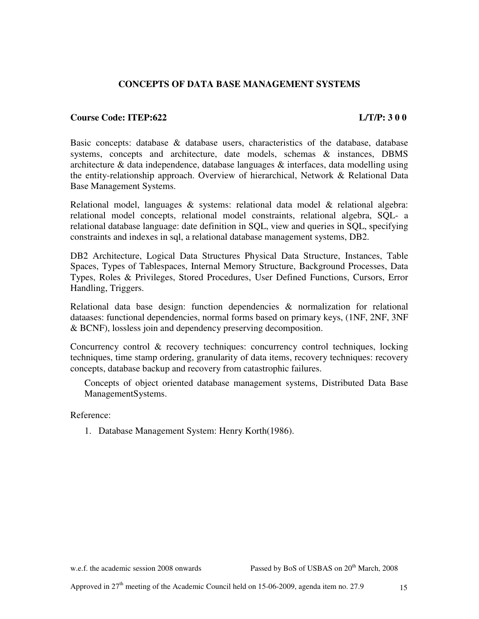## **CONCEPTS OF DATA BASE MANAGEMENT SYSTEMS**

### **Course Code: ITEP:622 L/T/P: 3 0 0**

Basic concepts: database & database users, characteristics of the database, database systems, concepts and architecture, date models, schemas & instances, DBMS architecture  $\&$  data independence, database languages  $\&$  interfaces, data modelling using the entity-relationship approach. Overview of hierarchical, Network & Relational Data Base Management Systems.

Relational model, languages  $\&$  systems: relational data model  $\&$  relational algebra: relational model concepts, relational model constraints, relational algebra, SQL- a relational database language: date definition in SQL, view and queries in SQL, specifying constraints and indexes in sql, a relational database management systems, DB2.

DB2 Architecture, Logical Data Structures Physical Data Structure, Instances, Table Spaces, Types of Tablespaces, Internal Memory Structure, Background Processes, Data Types, Roles & Privileges, Stored Procedures, User Defined Functions, Cursors, Error Handling, Triggers.

Relational data base design: function dependencies  $\&$  normalization for relational dataases: functional dependencies, normal forms based on primary keys, (1NF, 2NF, 3NF & BCNF), lossless join and dependency preserving decomposition.

Concurrency control & recovery techniques: concurrency control techniques, locking techniques, time stamp ordering, granularity of data items, recovery techniques: recovery concepts, database backup and recovery from catastrophic failures.

Concepts of object oriented database management systems, Distributed Data Base ManagementSystems.

Reference:

1. Database Management System: Henry Korth(1986).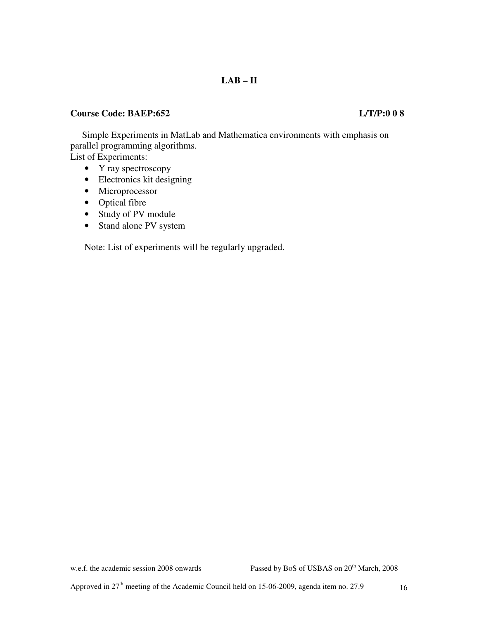## **LAB – II**

## **Course Code: BAEP:652 L/T/P:0 0 8**

Simple Experiments in MatLab and Mathematica environments with emphasis on parallel programming algorithms. List of Experiments:

- Y ray spectroscopy
- Electronics kit designing
- Microprocessor
- Optical fibre
- Study of PV module
- Stand alone PV system

Note: List of experiments will be regularly upgraded.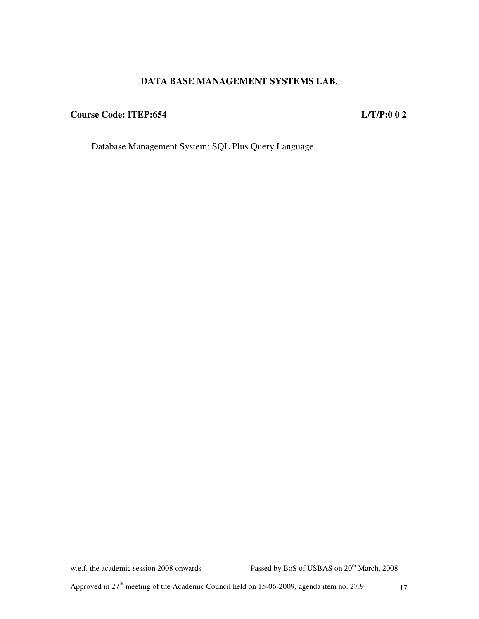## **DATA BASE MANAGEMENT SYSTEMS LAB.**

## **Course Code: ITEP:654 L/T/P:0 0 2**

Database Management System: SQL Plus Query Language.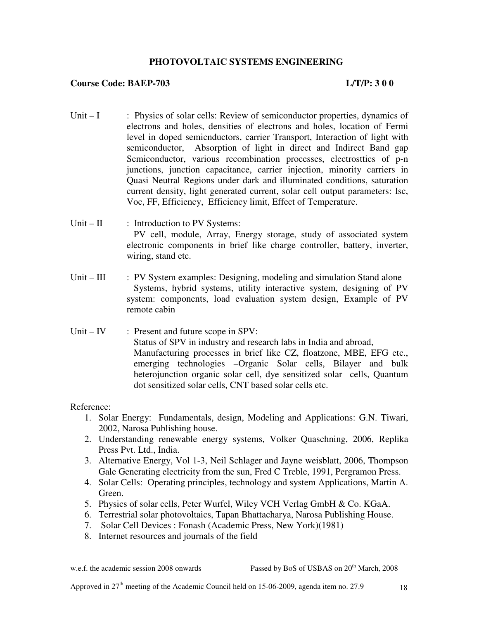## **PHOTOVOLTAIC SYSTEMS ENGINEERING**

### **Course Code: BAEP-703 L/T/P: 3 0 0**

- Unit I : Physics of solar cells: Review of semiconductor properties, dynamics of electrons and holes, densities of electrons and holes, location of Fermi level in doped semicnductors, carrier Transport, Interaction of light with semiconductor, Absorption of light in direct and Indirect Band gap Semiconductor, various recombination processes, electrosttics of p-n junctions, junction capacitance, carrier injection, minority carriers in Quasi Neutral Regions under dark and illuminated conditions, saturation current density, light generated current, solar cell output parameters: Isc, Voc, FF, Efficiency, Efficiency limit, Effect of Temperature.
- Unit II : Introduction to PV Systems: PV cell, module, Array, Energy storage, study of associated system electronic components in brief like charge controller, battery, inverter, wiring, stand etc.
- Unit III : PV System examples: Designing, modeling and simulation Stand alone Systems, hybrid systems, utility interactive system, designing of PV system: components, load evaluation system design, Example of PV remote cabin
- Unit IV : Present and future scope in SPV: Status of SPV in industry and research labs in India and abroad, Manufacturing processes in brief like CZ, floatzone, MBE, EFG etc., emerging technologies –Organic Solar cells, Bilayer and bulk heterojunction organic solar cell, dye sensitized solar cells, Quantum dot sensitized solar cells, CNT based solar cells etc.

Reference:

- 1. Solar Energy: Fundamentals, design, Modeling and Applications: G.N. Tiwari, 2002, Narosa Publishing house.
- 2. Understanding renewable energy systems, Volker Quaschning, 2006, Replika Press Pvt. Ltd., India.
- 3. Alternative Energy, Vol 1-3, Neil Schlager and Jayne weisblatt, 2006, Thompson Gale Generating electricity from the sun, Fred C Treble, 1991, Pergramon Press.
- 4. Solar Cells: Operating principles, technology and system Applications, Martin A. Green.
- 5. Physics of solar cells, Peter Wurfel, Wiley VCH Verlag GmbH & Co. KGaA.
- 6. Terrestrial solar photovoltaics, Tapan Bhattacharya, Narosa Publishing House.
- 7. Solar Cell Devices : Fonash (Academic Press, New York)(1981)
- 8. Internet resources and journals of the field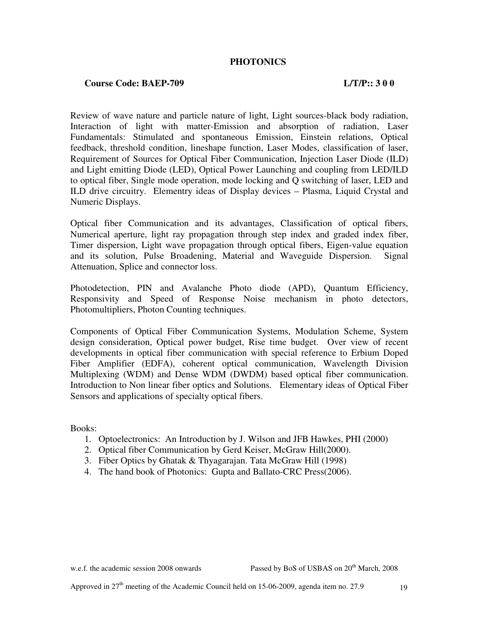## **PHOTONICS**

## **Course Code: BAEP-709 L/T/P:: 3 0 0**

Review of wave nature and particle nature of light, Light sources-black body radiation, Interaction of light with matter-Emission and absorption of radiation, Laser Fundamentals: Stimulated and spontaneous Emission, Einstein relations, Optical feedback, threshold condition, lineshape function, Laser Modes, classification of laser, Requirement of Sources for Optical Fiber Communication, Injection Laser Diode (ILD) and Light emitting Diode (LED), Optical Power Launching and coupling from LED/ILD to optical fiber, Single mode operation, mode locking and Q switching of laser, LED and ILD drive circuitry. Elementry ideas of Display devices – Plasma, Liquid Crystal and Numeric Displays.

Optical fiber Communication and its advantages, Classification of optical fibers, Numerical aperture, light ray propagation through step index and graded index fiber, Timer dispersion, Light wave propagation through optical fibers, Eigen-value equation and its solution, Pulse Broadening, Material and Waveguide Dispersion. Signal Attenuation, Splice and connector loss.

Photodetection, PIN and Avalanche Photo diode (APD), Quantum Efficiency, Responsivity and Speed of Response Noise mechanism in photo detectors, Photomultipliers, Photon Counting techniques.

Components of Optical Fiber Communication Systems, Modulation Scheme, System design consideration, Optical power budget, Rise time budget. Over view of recent developments in optical fiber communication with special reference to Erbium Doped Fiber Amplifier (EDFA), coherent optical communication, Wavelength Division Multiplexing (WDM) and Dense WDM (DWDM) based optical fiber communication. Introduction to Non linear fiber optics and Solutions. Elementary ideas of Optical Fiber Sensors and applications of specialty optical fibers.

Books:

- 1. Optoelectronics: An Introduction by J. Wilson and JFB Hawkes, PHI (2000)
- 2. Optical fiber Communication by Gerd Keiser, McGraw Hill(2000).
- 3. Fiber Optics by Ghatak & Thyagarajan. Tata McGraw Hill (1998)
- 4. The hand book of Photonics: Gupta and Ballato-CRC Press(2006).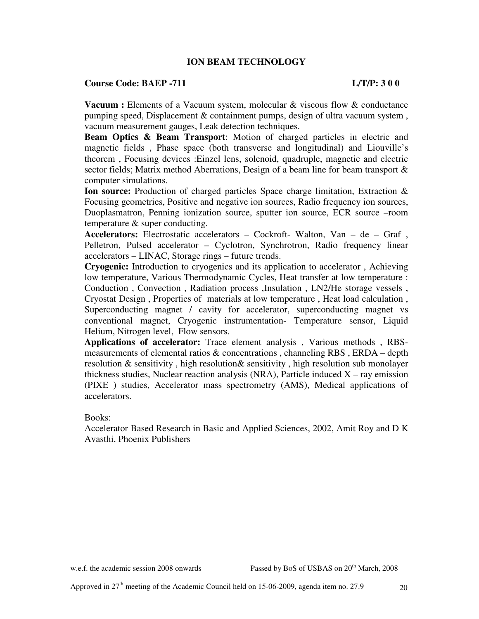## **ION BEAM TECHNOLOGY**

#### **Course Code: BAEP -711 L/T/P: 3 0 0**

**Vacuum :** Elements of a Vacuum system, molecular & viscous flow & conductance pumping speed, Displacement & containment pumps, design of ultra vacuum system , vacuum measurement gauges, Leak detection techniques.

**Beam Optics & Beam Transport**: Motion of charged particles in electric and magnetic fields , Phase space (both transverse and longitudinal) and Liouville's theorem , Focusing devices :Einzel lens, solenoid, quadruple, magnetic and electric sector fields; Matrix method Aberrations, Design of a beam line for beam transport & computer simulations.

**Ion source:** Production of charged particles Space charge limitation, Extraction & Focusing geometries, Positive and negative ion sources, Radio frequency ion sources, Duoplasmatron, Penning ionization source, sputter ion source, ECR source –room temperature & super conducting.

**Accelerators:** Electrostatic accelerators – Cockroft- Walton, Van – de – Graf , Pelletron, Pulsed accelerator – Cyclotron, Synchrotron, Radio frequency linear accelerators – LINAC, Storage rings – future trends.

**Cryogenic:** Introduction to cryogenics and its application to accelerator , Achieving low temperature, Various Thermodynamic Cycles, Heat transfer at low temperature : Conduction , Convection , Radiation process ,Insulation , LN2/He storage vessels , Cryostat Design , Properties of materials at low temperature , Heat load calculation , Superconducting magnet / cavity for accelerator, superconducting magnet vs conventional magnet, Cryogenic instrumentation- Temperature sensor, Liquid Helium, Nitrogen level, Flow sensors.

**Applications of accelerator:** Trace element analysis , Various methods , RBSmeasurements of elemental ratios  $\&$  concentrations, channeling RBS, ERDA – depth resolution & sensitivity , high resolution& sensitivity , high resolution sub monolayer thickness studies, Nuclear reaction analysis (NRA), Particle induced  $X$  – ray emission (PIXE ) studies, Accelerator mass spectrometry (AMS), Medical applications of accelerators.

#### Books:

Accelerator Based Research in Basic and Applied Sciences, 2002, Amit Roy and D K Avasthi, Phoenix Publishers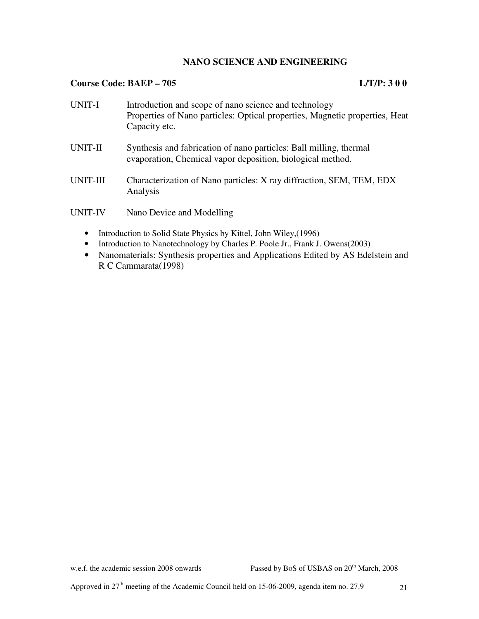## **NANO SCIENCE AND ENGINEERING**

## **Course Code: BAEP – 705 L/T/P: 3 0 0**

| UNIT-I   | Introduction and scope of nano science and technology<br>Properties of Nano particles: Optical properties, Magnetic properties, Heat<br>Capacity etc. |
|----------|-------------------------------------------------------------------------------------------------------------------------------------------------------|
| UNIT-II  | Synthesis and fabrication of nano particles: Ball milling, thermal<br>evaporation, Chemical vapor deposition, biological method.                      |
| UNIT-III | Characterization of Nano particles: X ray diffraction, SEM, TEM, EDX<br>Analysis                                                                      |
| UNIT-IV  | Nano Device and Modelling                                                                                                                             |

- Introduction to Solid State Physics by Kittel, John Wiley,(1996)
- Introduction to Nanotechnology by Charles P. Poole Jr., Frank J. Owens(2003)
- Nanomaterials: Synthesis properties and Applications Edited by AS Edelstein and R C Cammarata(1998)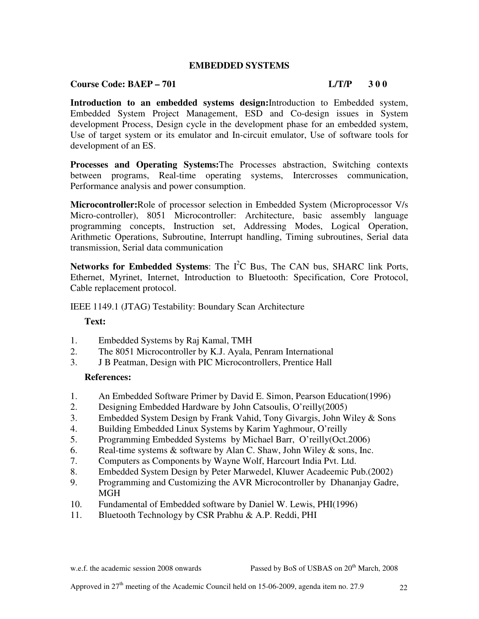## **EMBEDDED SYSTEMS**

### **Course Code: BAEP – 701 L/T/P** 3 0 0

**Introduction to an embedded systems design:**Introduction to Embedded system, Embedded System Project Management, ESD and Co-design issues in System development Process, Design cycle in the development phase for an embedded system, Use of target system or its emulator and In-circuit emulator, Use of software tools for development of an ES.

**Processes and Operating Systems:**The Processes abstraction, Switching contexts between programs, Real-time operating systems, Intercrosses communication, Performance analysis and power consumption.

**Microcontroller:**Role of processor selection in Embedded System (Microprocessor V/s Micro-controller), 8051 Microcontroller: Architecture, basic assembly language programming concepts, Instruction set, Addressing Modes, Logical Operation, Arithmetic Operations, Subroutine, Interrupt handling, Timing subroutines, Serial data transmission, Serial data communication

**Networks for Embedded Systems:** The  $I^2C$  Bus, The CAN bus, SHARC link Ports, Ethernet, Myrinet, Internet, Introduction to Bluetooth: Specification, Core Protocol, Cable replacement protocol.

IEEE 1149.1 (JTAG) Testability: Boundary Scan Architecture

## **Text:**

- 1. Embedded Systems by Raj Kamal, TMH
- 2. The 8051 Microcontroller by K.J. Ayala, Penram International
- 3. J B Peatman, Design with PIC Microcontrollers, Prentice Hall

#### **References:**

- 1. An Embedded Software Primer by David E. Simon, Pearson Education(1996)
- 2. Designing Embedded Hardware by John Catsoulis, O'reilly(2005)
- 3. Embedded System Design by Frank Vahid, Tony Givargis, John Wiley & Sons
- 4. Building Embedded Linux Systems by Karim Yaghmour, O'reilly
- 5. Programming Embedded Systems by Michael Barr, O'reilly(Oct.2006)
- 6. Real-time systems  $\&$  software by Alan C. Shaw, John Wiley  $\&$  sons, Inc.
- 7. Computers as Components by Wayne Wolf, Harcourt India Pvt. Ltd.
- 8. Embedded System Design by Peter Marwedel, Kluwer Acadeemic Pub.(2002)
- 9. Programming and Customizing the AVR Microcontroller by Dhananjay Gadre, MGH
- 10. Fundamental of Embedded software by Daniel W. Lewis, PHI(1996)
- 11. Bluetooth Technology by CSR Prabhu & A.P. Reddi, PHI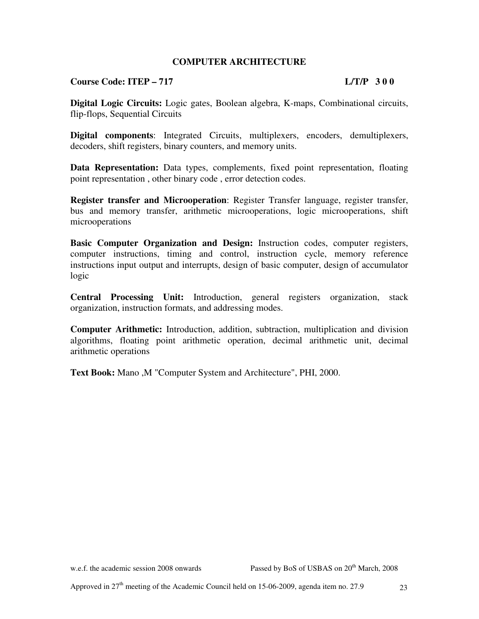## **COMPUTER ARCHITECTURE**

## **Course Code: ITEP – 717 L/T/P 3 0 0**

**Digital Logic Circuits:** Logic gates, Boolean algebra, K-maps, Combinational circuits, flip-flops, Sequential Circuits

**Digital components**: Integrated Circuits, multiplexers, encoders, demultiplexers, decoders, shift registers, binary counters, and memory units.

**Data Representation:** Data types, complements, fixed point representation, floating point representation , other binary code , error detection codes.

**Register transfer and Microoperation**: Register Transfer language, register transfer, bus and memory transfer, arithmetic microoperations, logic microoperations, shift microoperations

**Basic Computer Organization and Design:** Instruction codes, computer registers, computer instructions, timing and control, instruction cycle, memory reference instructions input output and interrupts, design of basic computer, design of accumulator logic

**Central Processing Unit:** Introduction, general registers organization, stack organization, instruction formats, and addressing modes.

**Computer Arithmetic:** Introduction, addition, subtraction, multiplication and division algorithms, floating point arithmetic operation, decimal arithmetic unit, decimal arithmetic operations

**Text Book:** Mano ,M "Computer System and Architecture", PHI, 2000.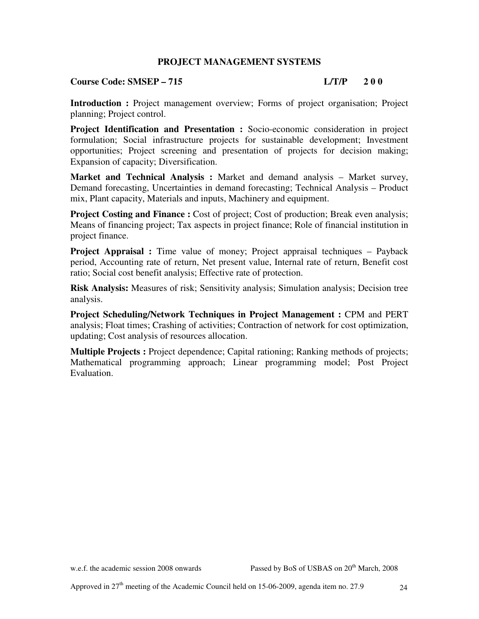## **PROJECT MANAGEMENT SYSTEMS**

## **Course Code: SMSEP – 715 L/T/P 2 0 0**

**Introduction :** Project management overview; Forms of project organisation; Project planning; Project control.

**Project Identification and Presentation :** Socio-economic consideration in project formulation; Social infrastructure projects for sustainable development; Investment opportunities; Project screening and presentation of projects for decision making; Expansion of capacity; Diversification.

**Market and Technical Analysis :** Market and demand analysis – Market survey, Demand forecasting, Uncertainties in demand forecasting; Technical Analysis – Product mix, Plant capacity, Materials and inputs, Machinery and equipment.

**Project Costing and Finance :** Cost of project; Cost of production; Break even analysis; Means of financing project; Tax aspects in project finance; Role of financial institution in project finance.

**Project Appraisal :** Time value of money; Project appraisal techniques – Payback period, Accounting rate of return, Net present value, Internal rate of return, Benefit cost ratio; Social cost benefit analysis; Effective rate of protection.

**Risk Analysis:** Measures of risk; Sensitivity analysis; Simulation analysis; Decision tree analysis.

**Project Scheduling/Network Techniques in Project Management :** CPM and PERT analysis; Float times; Crashing of activities; Contraction of network for cost optimization, updating; Cost analysis of resources allocation.

**Multiple Projects :** Project dependence; Capital rationing; Ranking methods of projects; Mathematical programming approach; Linear programming model; Post Project Evaluation.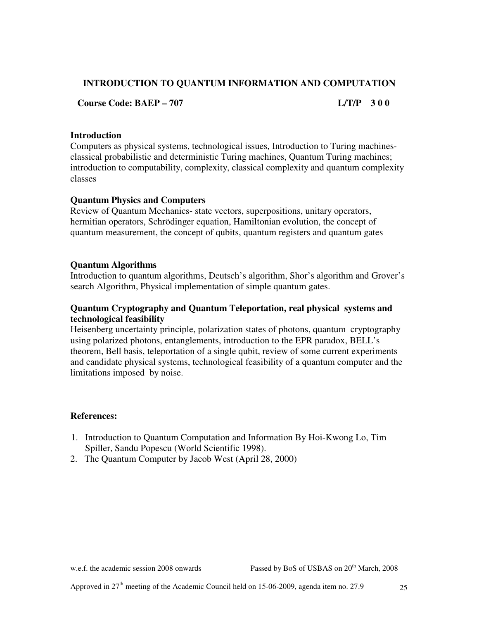## **INTRODUCTION TO QUANTUM INFORMATION AND COMPUTATION**

 **Course Code: BAEP – 707 L/T/P 3 0 0** 

## **Introduction**

Computers as physical systems, technological issues, Introduction to Turing machinesclassical probabilistic and deterministic Turing machines, Quantum Turing machines; introduction to computability, complexity, classical complexity and quantum complexity classes

## **Quantum Physics and Computers**

Review of Quantum Mechanics- state vectors, superpositions, unitary operators, hermitian operators, Schrödinger equation, Hamiltonian evolution, the concept of quantum measurement, the concept of qubits, quantum registers and quantum gates

## **Quantum Algorithms**

Introduction to quantum algorithms, Deutsch's algorithm, Shor's algorithm and Grover's search Algorithm, Physical implementation of simple quantum gates.

## **Quantum Cryptography and Quantum Teleportation, real physical systems and technological feasibility**

Heisenberg uncertainty principle, polarization states of photons, quantum cryptography using polarized photons, entanglements, introduction to the EPR paradox, BELL's theorem, Bell basis, teleportation of a single qubit, review of some current experiments and candidate physical systems, technological feasibility of a quantum computer and the limitations imposed by noise.

## **References:**

- 1. Introduction to Quantum Computation and Information By Hoi-Kwong Lo, Tim Spiller, Sandu Popescu (World Scientific 1998).
- 2. The Quantum Computer by Jacob West (April 28, 2000)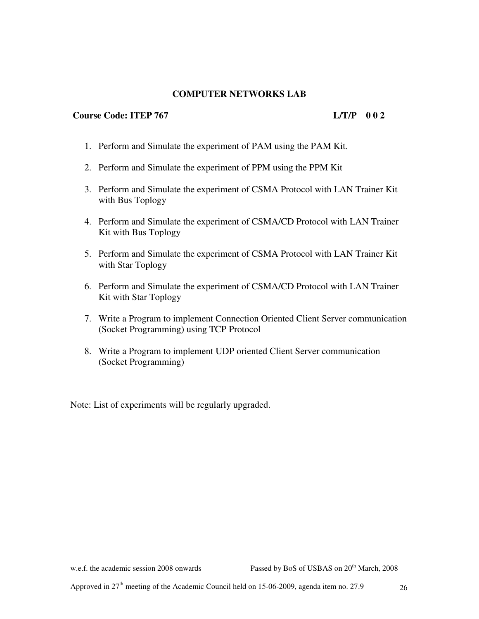## **COMPUTER NETWORKS LAB**

## **Course Code: ITEP 767 L/T/P 0 0 2**

- 1. Perform and Simulate the experiment of PAM using the PAM Kit.
- 2. Perform and Simulate the experiment of PPM using the PPM Kit
- 3. Perform and Simulate the experiment of CSMA Protocol with LAN Trainer Kit with Bus Toplogy
- 4. Perform and Simulate the experiment of CSMA/CD Protocol with LAN Trainer Kit with Bus Toplogy
- 5. Perform and Simulate the experiment of CSMA Protocol with LAN Trainer Kit with Star Toplogy
- 6. Perform and Simulate the experiment of CSMA/CD Protocol with LAN Trainer Kit with Star Toplogy
- 7. Write a Program to implement Connection Oriented Client Server communication (Socket Programming) using TCP Protocol
- 8. Write a Program to implement UDP oriented Client Server communication (Socket Programming)

Note: List of experiments will be regularly upgraded.